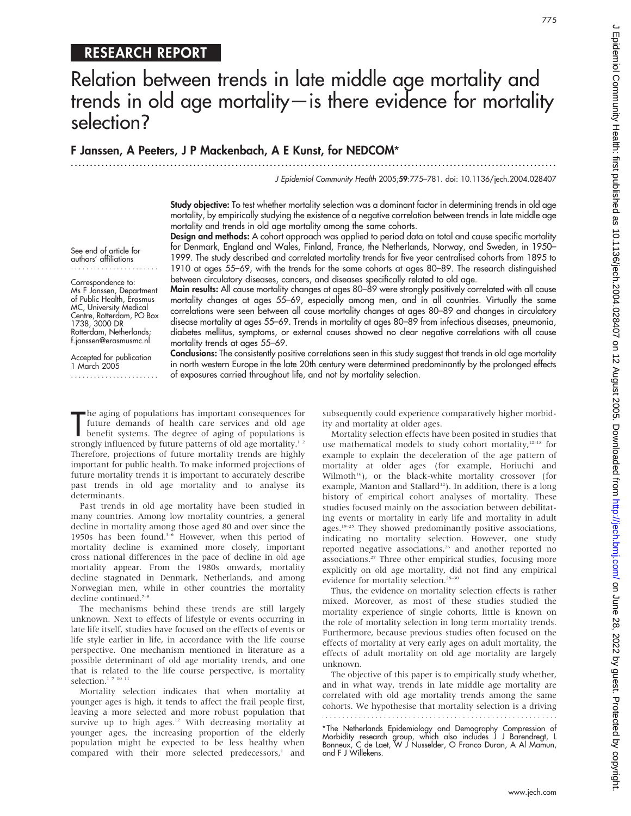775

## RESEARCH REPORT

See end of article for authors' affiliations

Correspondence to:

of Public Health, Erasmus MC, University Medical Centre, Rotterdam, PO Box 1738, 3000 DR Rotterdam, Netherlands; f.janssen@erasmusmc.nl Accepted for publication 1 March 2005 .......................

# Relation between trends in late middle age mortality and trends in old age mortality—is there evidence for mortality selection?

### F Janssen, A Peeters, J P Mackenbach, A E Kunst, for NEDCOM\*

...............................................................................................................................

J Epidemiol Community Health 2005;59:775–781. doi: 10.1136/jech.2004.028407

Study objective: To test whether mortality selection was a dominant factor in determining trends in old age mortality, by empirically studying the existence of a negative correlation between trends in late middle age mortality and trends in old age mortality among the same cohorts.

....................... Ms F Janssen, Department Design and methods: A cohort approach was applied to period data on total and cause specific mortality for Denmark, England and Wales, Finland, France, the Netherlands, Norway, and Sweden, in 1950– 1999. The study described and correlated mortality trends for five year centralised cohorts from 1895 to 1910 at ages 55–69, with the trends for the same cohorts at ages 80–89. The research distinguished between circulatory diseases, cancers, and diseases specifically related to old age.

Main results: All cause mortality changes at ages 80–89 were strongly positively correlated with all cause mortality changes at ages 55–69, especially among men, and in all countries. Virtually the same correlations were seen between all cause mortality changes at ages 80–89 and changes in circulatory disease mortality at ages 55–69. Trends in mortality at ages 80–89 from infectious diseases, pneumonia, diabetes mellitus, symptoms, or external causes showed no clear negative correlations with all cause mortality trends at ages 55–69.

Conclusions: The consistently positive correlations seen in this study suggest that trends in old age mortality in north western Europe in the late 20th century were determined predominantly by the prolonged effects of exposures carried throughout life, and not by mortality selection.

The aging of populations has important consequences for<br>future demands of health care services and old age<br>benefit systems. The degree of aging of populations is<br>strongly influenced by future patterns of old age mortality he aging of populations has important consequences for future demands of health care services and old age strongly influenced by future patterns of old age mortality.<sup>1,2</sup> Therefore, projections of future mortality trends are highly important for public health. To make informed projections of future mortality trends it is important to accurately describe past trends in old age mortality and to analyse its determinants.

Past trends in old age mortality have been studied in many countries. Among low mortality countries, a general decline in mortality among those aged 80 and over since the 1950s has been found.<sup>3-6</sup> However, when this period of mortality decline is examined more closely, important cross national differences in the pace of decline in old age mortality appear. From the 1980s onwards, mortality decline stagnated in Denmark, Netherlands, and among Norwegian men, while in other countries the mortality decline continued.7–9

The mechanisms behind these trends are still largely unknown. Next to effects of lifestyle or events occurring in late life itself, studies have focused on the effects of events or life style earlier in life, in accordance with the life course perspective. One mechanism mentioned in literature as a possible determinant of old age mortality trends, and one that is related to the life course perspective, is mortality selection.<sup>171011</sup>

Mortality selection indicates that when mortality at younger ages is high, it tends to affect the frail people first, leaving a more selected and more robust population that survive up to high ages.<sup>12</sup> With decreasing mortality at younger ages, the increasing proportion of the elderly population might be expected to be less healthy when compared with their more selected predecessors,<sup>1</sup> and

subsequently could experience comparatively higher morbidity and mortality at older ages.

Mortality selection effects have been posited in studies that use mathematical models to study cohort mortality,<sup>12–18</sup> for example to explain the deceleration of the age pattern of mortality at older ages (for example, Horiuchi and Wilmoth<sup>16</sup>), or the black-white mortality crossover (for example, Manton and Stallard<sup>12</sup>). In addition, there is a long history of empirical cohort analyses of mortality. These studies focused mainly on the association between debilitating events or mortality in early life and mortality in adult ages.19–25 They showed predominantly positive associations, indicating no mortality selection. However, one study reported negative associations,<sup>26</sup> and another reported no associations.27 Three other empirical studies, focusing more explicitly on old age mortality, did not find any empirical evidence for mortality selection.<sup>28-30</sup>

Thus, the evidence on mortality selection effects is rather mixed. Moreover, as most of these studies studied the mortality experience of single cohorts, little is known on the role of mortality selection in long term mortality trends. Furthermore, because previous studies often focused on the effects of mortality at very early ages on adult mortality, the effects of adult mortality on old age mortality are largely unknown.

The objective of this paper is to empirically study whether, and in what way, trends in late middle age mortality are correlated with old age mortality trends among the same cohorts. We hypothesise that mortality selection is a driving 

\* The Netherlands Epidemiology and Demography Compression of Morbidity research group, which also includes J J Barendregt, L Bonneux, C de Laet, W J Nusselder, O Franco Duran, A Al Mamun, and F J Willekens.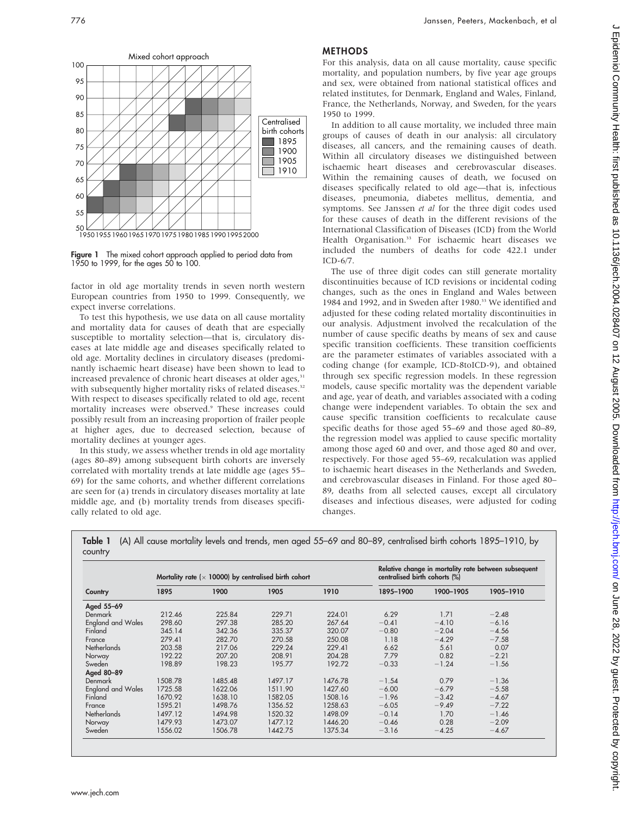

Figure 1 The mixed cohort approach applied to period data from 1950 to 1999, for the ages 50 to 100.

factor in old age mortality trends in seven north western European countries from 1950 to 1999. Consequently, we expect inverse correlations.

To test this hypothesis, we use data on all cause mortality and mortality data for causes of death that are especially susceptible to mortality selection—that is, circulatory diseases at late middle age and diseases specifically related to old age. Mortality declines in circulatory diseases (predominantly ischaemic heart disease) have been shown to lead to increased prevalence of chronic heart diseases at older ages,<sup>31</sup> with subsequently higher mortality risks of related diseases.<sup>32</sup> With respect to diseases specifically related to old age, recent mortality increases were observed.9 These increases could possibly result from an increasing proportion of frailer people at higher ages, due to decreased selection, because of mortality declines at younger ages.

In this study, we assess whether trends in old age mortality (ages 80–89) among subsequent birth cohorts are inversely correlated with mortality trends at late middle age (ages 55– 69) for the same cohorts, and whether different correlations are seen for (a) trends in circulatory diseases mortality at late middle age, and (b) mortality trends from diseases specifically related to old age.

### **METHODS**

For this analysis, data on all cause mortality, cause specific mortality, and population numbers, by five year age groups and sex, were obtained from national statistical offices and related institutes, for Denmark, England and Wales, Finland, France, the Netherlands, Norway, and Sweden, for the years 1950 to 1999.

In addition to all cause mortality, we included three main groups of causes of death in our analysis: all circulatory diseases, all cancers, and the remaining causes of death. Within all circulatory diseases we distinguished between ischaemic heart diseases and cerebrovascular diseases. Within the remaining causes of death, we focused on diseases specifically related to old age—that is, infectious diseases, pneumonia, diabetes mellitus, dementia, and symptoms. See Janssen et al for the three digit codes used for these causes of death in the different revisions of the International Classification of Diseases (ICD) from the World Health Organisation.<sup>33</sup> For ischaemic heart diseases we included the numbers of deaths for code 422.1 under ICD-6/7.

The use of three digit codes can still generate mortality discontinuities because of ICD revisions or incidental coding changes, such as the ones in England and Wales between 1984 and 1992, and in Sweden after 1980.<sup>33</sup> We identified and adjusted for these coding related mortality discontinuities in our analysis. Adjustment involved the recalculation of the number of cause specific deaths by means of sex and cause specific transition coefficients. These transition coefficients are the parameter estimates of variables associated with a coding change (for example, ICD-8toICD-9), and obtained through sex specific regression models. In these regression models, cause specific mortality was the dependent variable and age, year of death, and variables associated with a coding change were independent variables. To obtain the sex and cause specific transition coefficients to recalculate cause specific deaths for those aged 55–69 and those aged 80–89, the regression model was applied to cause specific mortality among those aged 60 and over, and those aged 80 and over, respectively. For those aged 55–69, recalculation was applied to ischaemic heart diseases in the Netherlands and Sweden, and cerebrovascular diseases in Finland. For those aged 80– 89, deaths from all selected causes, except all circulatory diseases and infectious diseases, were adjusted for coding changes.

| Country                  |         |         | Mortality rate ( $\times$ 10000) by centralised birth cohort | Relative change in mortality rate between subsequent<br>centralised birth cohorts (%) |           |           |           |
|--------------------------|---------|---------|--------------------------------------------------------------|---------------------------------------------------------------------------------------|-----------|-----------|-----------|
|                          | 1895    | 1900    | 1905                                                         | 1910                                                                                  | 1895-1900 | 1900-1905 | 1905-1910 |
| Aged 55-69               |         |         |                                                              |                                                                                       |           |           |           |
| Denmark                  | 212.46  | 225.84  | 229.71                                                       | 224.01                                                                                | 6.29      | 1.71      | $-2.48$   |
| <b>England and Wales</b> | 298.60  | 297.38  | 285.20                                                       | 267.64                                                                                | $-0.41$   | $-4.10$   | $-6.16$   |
| Finland                  | 345.14  | 342.36  | 335.37                                                       | 320.07                                                                                | $-0.80$   | $-2.04$   | $-4.56$   |
| France                   | 279.41  | 282.70  | 270.58                                                       | 250.08                                                                                | 1.18      | $-4.29$   | $-7.58$   |
| <b>Netherlands</b>       | 203.58  | 217.06  | 229.24                                                       | 229.41                                                                                | 6.62      | 5.61      | 0.07      |
| Norway                   | 192.22  | 207.20  | 208.91                                                       | 204.28                                                                                | 7.79      | 0.82      | $-2.21$   |
| Sweden                   | 198.89  | 198.23  | 195.77                                                       | 192.72                                                                                | $-0.33$   | $-1.24$   | $-1.56$   |
| Aged 80-89               |         |         |                                                              |                                                                                       |           |           |           |
| Denmark                  | 1508.78 | 1485.48 | 1497.17                                                      | 1476.78                                                                               | $-1.54$   | 0.79      | $-1.36$   |
| <b>England and Wales</b> | 1725.58 | 1622.06 | 1511.90                                                      | 1427.60                                                                               | $-6.00$   | $-6.79$   | $-5.58$   |
| Finland                  | 1670.92 | 1638.10 | 1582.05                                                      | 1508.16                                                                               | $-1.96$   | $-3.42$   | $-4.67$   |
| France                   | 1595.21 | 1498.76 | 1356.52                                                      | 1258.63                                                                               | $-6.05$   | $-9.49$   | $-7.22$   |
| <b>Netherlands</b>       | 1497.12 | 1494.98 | 1520.32                                                      | 1498.09                                                                               | $-0.14$   | 1.70      | $-1.46$   |
| Norway                   | 1479.93 | 1473.07 | 1477.12                                                      | 1446.20                                                                               | $-0.46$   | 0.28      | $-2.09$   |
| Sweden                   | 1556.02 | 1506.78 | 1442.75                                                      | 1375.34                                                                               | $-3.16$   | $-4.25$   | $-4.67$   |

Table 1 (A) All cause mortality levels and trends, men aged 55–69 and 80–89, centralised birth cohorts 1895–1910, by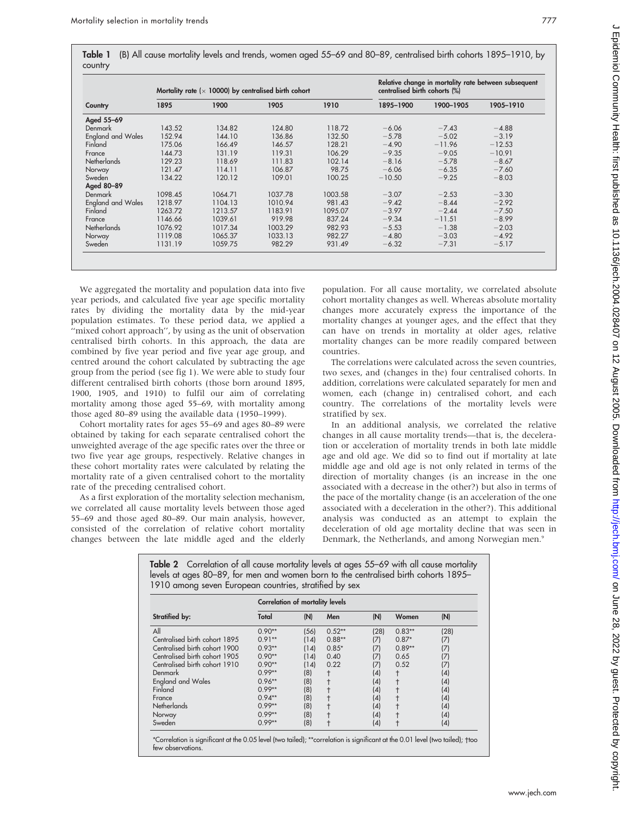| Country                  |         |         | Mortality rate ( $\times$ 10000) by centralised birth cohort | Relative change in mortality rate between subsequent<br>centralised birth cohorts (%) |           |           |           |
|--------------------------|---------|---------|--------------------------------------------------------------|---------------------------------------------------------------------------------------|-----------|-----------|-----------|
|                          | 1895    | 1900    | 1905                                                         | 1910                                                                                  | 1895-1900 | 1900-1905 | 1905-1910 |
| Aged 55-69               |         |         |                                                              |                                                                                       |           |           |           |
| <b>Denmark</b>           | 143.52  | 134.82  | 124.80                                                       | 118.72                                                                                | $-6.06$   | $-7.43$   | $-4.88$   |
| <b>England and Wales</b> | 152.94  | 144.10  | 136.86                                                       | 132.50                                                                                | $-5.78$   | $-5.02$   | $-3.19$   |
| Finland                  | 175.06  | 166.49  | 146.57                                                       | 128.21                                                                                | $-4.90$   | $-11.96$  | $-12.53$  |
| France                   | 144.73  | 131.19  | 119.31                                                       | 106.29                                                                                | $-9.35$   | $-9.05$   | $-10.91$  |
| <b>Netherlands</b>       | 129.23  | 118.69  | 111.83                                                       | 102.14                                                                                | $-8.16$   | $-5.78$   | $-8.67$   |
| Norway                   | 121.47  | 114.11  | 106.87                                                       | 98.75                                                                                 | $-6.06$   | $-6.35$   | $-7.60$   |
| Sweden                   | 134.22  | 120.12  | 109.01                                                       | 100.25                                                                                | $-10.50$  | $-9.25$   | $-8.03$   |
| Aged 80-89               |         |         |                                                              |                                                                                       |           |           |           |
| Denmark                  | 1098.45 | 1064.71 | 1037.78                                                      | 1003.58                                                                               | $-3.07$   | $-2.53$   | $-3.30$   |
| <b>England and Wales</b> | 1218.97 | 1104.13 | 1010.94                                                      | 981.43                                                                                | $-9.42$   | $-8.44$   | $-2.92$   |
| Finland                  | 1263.72 | 1213.57 | 1183.91                                                      | 1095.07                                                                               | $-3.97$   | $-2.44$   | $-7.50$   |
| France                   | 1146.66 | 1039.61 | 919.98                                                       | 837.24                                                                                | $-9.34$   | $-11.51$  | $-8.99$   |
| <b>Netherlands</b>       | 1076.92 | 1017.34 | 1003.29                                                      | 982.93                                                                                | $-5.53$   | $-1.38$   | $-2.03$   |
| Norway                   | 1119.08 | 1065.37 | 1033.13                                                      | 982.27                                                                                | $-4.80$   | $-3.03$   | $-4.92$   |
| Sweden                   | 1131.19 | 1059.75 | 982.29                                                       | 931.49                                                                                | $-6.32$   | $-7.31$   | $-5.17$   |

We aggregated the mortality and population data into five year periods, and calculated five year age specific mortality rates by dividing the mortality data by the mid-year population estimates. To these period data, we applied a "mixed cohort approach", by using as the unit of observation centralised birth cohorts. In this approach, the data are combined by five year period and five year age group, and centred around the cohort calculated by subtracting the age group from the period (see fig 1). We were able to study four different centralised birth cohorts (those born around 1895, 1900, 1905, and 1910) to fulfil our aim of correlating mortality among those aged 55–69, with mortality among those aged 80–89 using the available data (1950–1999).

Cohort mortality rates for ages 55–69 and ages 80–89 were obtained by taking for each separate centralised cohort the unweighted average of the age specific rates over the three or two five year age groups, respectively. Relative changes in these cohort mortality rates were calculated by relating the mortality rate of a given centralised cohort to the mortality rate of the preceding centralised cohort.

As a first exploration of the mortality selection mechanism, we correlated all cause mortality levels between those aged 55–69 and those aged 80–89. Our main analysis, however, consisted of the correlation of relative cohort mortality changes between the late middle aged and the elderly

population. For all cause mortality, we correlated absolute cohort mortality changes as well. Whereas absolute mortality changes more accurately express the importance of the mortality changes at younger ages, and the effect that they can have on trends in mortality at older ages, relative mortality changes can be more readily compared between countries.

The correlations were calculated across the seven countries, two sexes, and (changes in the) four centralised cohorts. In addition, correlations were calculated separately for men and women, each (change in) centralised cohort, and each country. The correlations of the mortality levels were stratified by sex.

In an additional analysis, we correlated the relative changes in all cause mortality trends—that is, the deceleration or acceleration of mortality trends in both late middle age and old age. We did so to find out if mortality at late middle age and old age is not only related in terms of the direction of mortality changes (is an increase in the one associated with a decrease in the other?) but also in terms of the pace of the mortality change (is an acceleration of the one associated with a deceleration in the other?). This additional analysis was conducted as an attempt to explain the deceleration of old age mortality decline that was seen in Denmark, the Netherlands, and among Norwegian men.<sup>9</sup>

|                               | Correlation of mortality levels |      |          |      |          |      |  |  |
|-------------------------------|---------------------------------|------|----------|------|----------|------|--|--|
| Stratified by:                | Total                           | (N)  | Men      | (N)  | Women    | (N)  |  |  |
| All                           | $0.90**$                        | (56) | $0.52**$ | (28) | $0.83**$ | (28) |  |  |
| Centralised birth cohort 1895 | $0.91**$                        | (14) | $0.88**$ | (7)  | $0.87*$  | (7)  |  |  |
| Centralised birth cohort 1900 | $0.93**$                        | (14) | $0.85*$  | (7)  | $0.89**$ | (7)  |  |  |
| Centralised birth cohort 1905 | $0.90**$                        | (14) | 0.40     | (7)  | 0.65     | (7)  |  |  |
| Centralised birth cohort 1910 | $0.90**$                        | (14) | 0.22     | (7)  | 0.52     | (7)  |  |  |
| Denmark                       | $0.99**$                        | (8)  |          | (4)  |          | (4)  |  |  |
| <b>England and Wales</b>      | $0.96**$                        | (8)  |          | (4)  |          | (4)  |  |  |
| Finland                       | $0.99**$                        | (8)  |          | (4)  |          | (4)  |  |  |
| France                        | $0.94**$                        | (8)  |          | (4)  |          | (4)  |  |  |
| <b>Netherlands</b>            | $0.99**$                        | (8)  |          | (4)  |          | (4)  |  |  |
| Norway                        | $0.99**$                        | (8)  |          | (4)  |          | (4)  |  |  |
| Sweden                        | $0.99**$                        | (8)  |          | (4)  |          | (4)  |  |  |

Table 2 Correlation of all cause mortality levels at ages 55–69 with all cause mortality levels at ages 80–89, for men and women born to the centralised birth cohorts 1895–

\*Correlation is significant at the 0.05 level (two tailed); \*\*correlation is significant at the 0.01 level (two tailed); too few observations.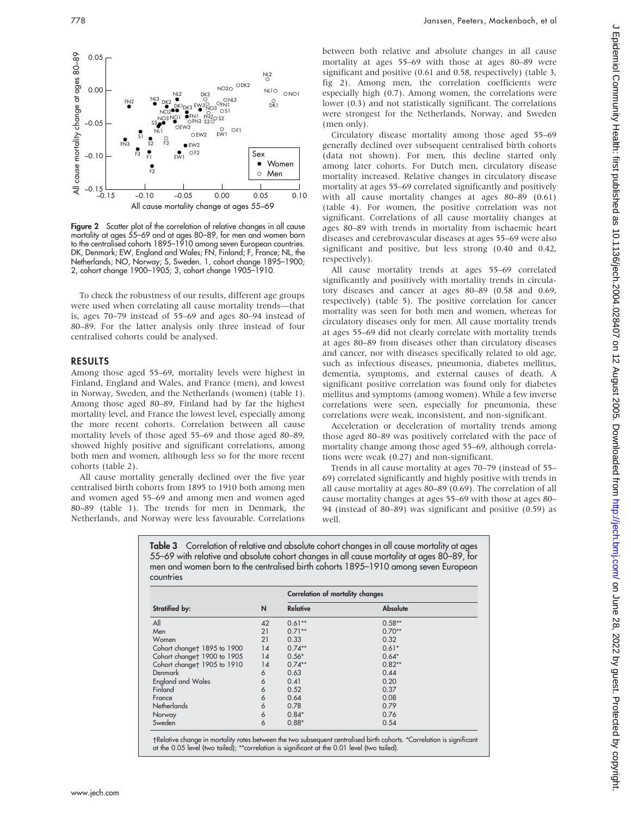

Figure 2 Scatter plot of the correlation of relative changes in all cause mortality at ages 55–69 and at ages 80–89, for men and women born to the centralised cohorts 1895-1910 among seven European countries. DK, Denmark; EW, England and Wales; FN, Finland; F, France; NL, the Netherlands; NO, Norway; S, Sweden. 1, cohort change 1895–1900; 2, cohort change 1900–1905; 3, cohort change 1905–1910.

To check the robustness of our results, different age groups were used when correlating all cause mortality trends—that is, ages 70–79 instead of 55–69 and ages 80–94 instead of 80–89. For the latter analysis only three instead of four centralised cohorts could be analysed.

### RESULTS

Among those aged 55–69, mortality levels were highest in Finland, England and Wales, and France (men), and lowest in Norway, Sweden, and the Netherlands (women) (table 1). Among those aged 80–89, Finland had by far the highest mortality level, and France the lowest level, especially among the more recent cohorts. Correlation between all cause mortality levels of those aged 55–69 and those aged 80–89, showed highly positive and significant correlations, among both men and women, although less so for the more recent cohorts (table 2).

All cause mortality generally declined over the five year centralised birth cohorts from 1895 to 1910 both among men and women aged 55–69 and among men and women aged 80–89 (table 1). The trends for men in Denmark, the Netherlands, and Norway were less favourable. Correlations

between both relative and absolute changes in all cause mortality at ages 55–69 with those at ages 80–89 were significant and positive (0.61 and 0.58, respectively) (table 3, fig 2). Among men, the correlation coefficients were especially high (0.7). Among women, the correlations were lower (0.3) and not statistically significant. The correlations were strongest for the Netherlands, Norway, and Sweden (men only).

Circulatory disease mortality among those aged 55–69 generally declined over subsequent centralised birth cohorts (data not shown). For men, this decline started only among later cohorts. For Dutch men, circulatory disease mortality increased. Relative changes in circulatory disease mortality at ages 55–69 correlated significantly and positively with all cause mortality changes at ages 80–89 (0.61) (table 4). For women, the positive correlation was not significant. Correlations of all cause mortality changes at ages 80–89 with trends in mortality from ischaemic heart diseases and cerebrovascular diseases at ages 55–69 were also significant and positive, but less strong (0.40 and 0.42, respectively).

All cause mortality trends at ages 55–69 correlated significantly and positively with mortality trends in circulatory diseases and cancer at ages 80–89 (0.58 and 0.69, respectively) (table 5). The positive correlation for cancer mortality was seen for both men and women, whereas for circulatory diseases only for men. All cause mortality trends at ages 55–69 did not clearly correlate with mortality trends at ages 80–89 from diseases other than circulatory diseases and cancer, nor with diseases specifically related to old age, such as infectious diseases, pneumonia, diabetes mellitus, dementia, symptoms, and external causes of death. A significant positive correlation was found only for diabetes mellitus and symptoms (among women). While a few inverse correlations were seen, especially for pneumonia, these correlations were weak, inconsistent, and non-significant.

Acceleration or deceleration of mortality trends among those aged 80–89 was positively correlated with the pace of mortality change among those aged 55–69, although correlations were weak (0.27) and non-significant.

Trends in all cause mortality at ages 70–79 (instead of 55– 69) correlated significantly and highly positive with trends in all cause mortality at ages 80–89 (0.69). The correlation of all cause mortality changes at ages 55–69 with those at ages 80– 94 (instead of 80–89) was significant and positive (0.59) as well.

Table 3 Correlation of relative and absolute cohort changes in all cause mortality at ages 55–69 with relative and absolute cohort changes in all cause mortality at ages 80–89, for men and women born to the centralised birth cohorts 1895–1910 among seven European countries

|                             |    | Correlation of mortality changes |                 |  |  |  |
|-----------------------------|----|----------------------------------|-----------------|--|--|--|
| Stratified by:              | N  | <b>Relative</b>                  | <b>Absolute</b> |  |  |  |
| All                         | 42 | $0.61**$                         | $0.58**$        |  |  |  |
| Men                         | 21 | $0.71**$                         | $0.70**$        |  |  |  |
| Women                       | 21 | 0.33                             | 0.32            |  |  |  |
| Cohort changet 1895 to 1900 | 14 | $0.74**$                         | $0.61*$         |  |  |  |
| Cohort changet 1900 to 1905 | 14 | $0.56*$                          | $0.64*$         |  |  |  |
| Cohort changet 1905 to 1910 | 14 | $0.74**$                         | $0.82**$        |  |  |  |
| Denmark                     | 6  | 0.63                             | 0.44            |  |  |  |
| <b>England and Wales</b>    | 6  | 0.41                             | 0.20            |  |  |  |
| Finland                     | 6  | 0.52                             | 0.37            |  |  |  |
| France                      | 6  | 0.64                             | 0.08            |  |  |  |
| <b>Netherlands</b>          | 6  | 0.78                             | 0.79            |  |  |  |
| Norway                      | 6  | $0.84*$                          | 0.76            |  |  |  |
| Sweden                      | 6  | $0.88*$                          | 0.54            |  |  |  |

Relative change in mortality rates between the two subsequent centralised birth cohorts. \*Correlation is significant at the 0.05 level (two tailed); \*\*correlation is significant at the 0.01 level (two tailed).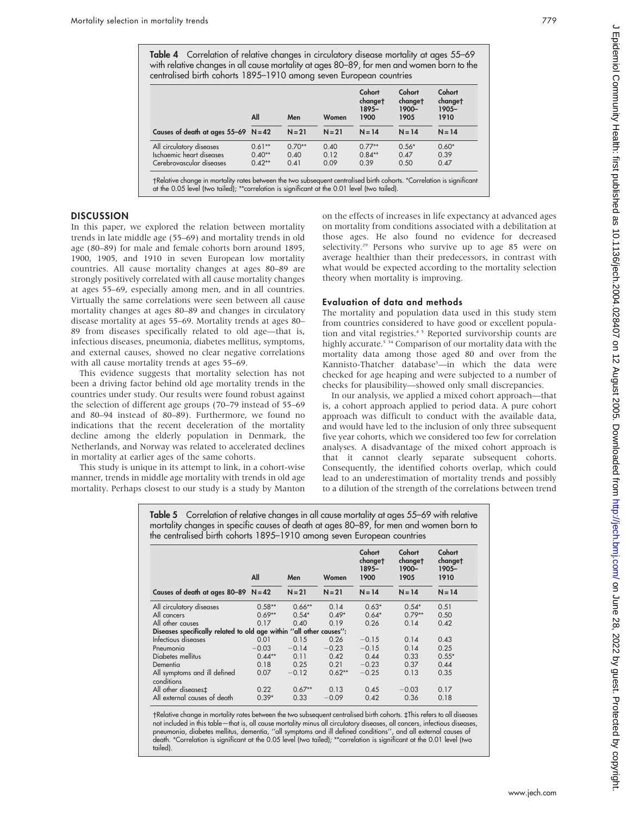Table 4 Correlation of relative changes in circulatory disease mortality at ages 55-69 with relative changes in all cause mortality at ages 80–89, for men and women born to the centralised birth cohorts 1895–1910 among seven European countries

|                                        | All      | Men      | Women    | Cohort<br>changet<br>1895-<br>1900 | Cohort<br>changet<br>$1900 -$<br>1905 | Cohort<br>change†<br>$1905 -$<br>1910 |
|----------------------------------------|----------|----------|----------|------------------------------------|---------------------------------------|---------------------------------------|
| Causes of death at ages $55-69$ N = 42 |          | $N = 21$ | $N = 21$ | $N = 14$                           | $N = 14$                              | $N = 14$                              |
| All circulatory diseases               | $0.61**$ | $0.70**$ | 0.40     | $0.77**$                           | $0.56*$                               | $0.60*$                               |
| Ischaemic heart diseases               | $0.40**$ | 0.40     | 0.12     | $0.84**$                           | 0.47                                  | 0.39                                  |
| Cerebrovascular diseases               | $0.42**$ | 0.41     | 0.09     | 0.39                               | 0.50                                  | 0.47                                  |

Relative change in mortality rates between the two subsequent centralised birth cohorts. \*Correlation is significant at the 0.05 level (two tailed); \*\*correlation is significant at the 0.01 level (two tailed).

### **DISCUSSION**

In this paper, we explored the relation between mortality trends in late middle age (55–69) and mortality trends in old age (80–89) for male and female cohorts born around 1895, 1900, 1905, and 1910 in seven European low mortality countries. All cause mortality changes at ages 80–89 are strongly positively correlated with all cause mortality changes at ages 55–69, especially among men, and in all countries. Virtually the same correlations were seen between all cause mortality changes at ages 80–89 and changes in circulatory disease mortality at ages 55–69. Mortality trends at ages 80– 89 from diseases specifically related to old age—that is, infectious diseases, pneumonia, diabetes mellitus, symptoms, and external causes, showed no clear negative correlations with all cause mortality trends at ages 55–69.

This evidence suggests that mortality selection has not been a driving factor behind old age mortality trends in the countries under study. Our results were found robust against the selection of different age groups (70–79 instead of 55–69 and 80–94 instead of 80–89). Furthermore, we found no indications that the recent deceleration of the mortality decline among the elderly population in Denmark, the Netherlands, and Norway was related to accelerated declines in mortality at earlier ages of the same cohorts.

This study is unique in its attempt to link, in a cohort-wise manner, trends in middle age mortality with trends in old age mortality. Perhaps closest to our study is a study by Manton on the effects of increases in life expectancy at advanced ages on mortality from conditions associated with a debilitation at those ages. He also found no evidence for decreased selectivity.<sup>29</sup> Persons who survive up to age 85 were on average healthier than their predecessors, in contrast with what would be expected according to the mortality selection theory when mortality is improving.

### Evaluation of data and methods

The mortality and population data used in this study stem from countries considered to have good or excellent population and vital registries.<sup>45</sup> Reported survivorship counts are highly accurate.<sup>5 34</sup> Comparison of our mortality data with the mortality data among those aged 80 and over from the Kannisto-Thatcher database<sup>5</sup>-in which the data were checked for age heaping and were subjected to a number of checks for plausibility—showed only small discrepancies.

In our analysis, we applied a mixed cohort approach—that is, a cohort approach applied to period data. A pure cohort approach was difficult to conduct with the available data, and would have led to the inclusion of only three subsequent five year cohorts, which we considered too few for correlation analyses. A disadvantage of the mixed cohort approach is that it cannot clearly separate subsequent cohorts. Consequently, the identified cohorts overlap, which could lead to an underestimation of mortality trends and possibly to a dilution of the strength of the correlations between trend

Table 5 Correlation of relative changes in all cause mortality at ages 55–69 with relative mortality changes in specific causes of death at ages 80–89, for men and women born to the centralised birth cohorts 1895–1910 among seven European countries

|                                                                     | All      | Men      | Women    | Cohort<br>changet<br>$1895 -$<br>1900 | Cohort<br>change†<br>1900-<br>1905 | Cohort<br>changet<br>$1905 -$<br>1910 |
|---------------------------------------------------------------------|----------|----------|----------|---------------------------------------|------------------------------------|---------------------------------------|
| Causes of death at ages $80-89$ N = 42                              |          | $N = 21$ | $N = 21$ | $N = 14$                              | $N = 14$                           | $N = 14$                              |
| All circulatory diseases                                            | $0.58**$ | $0.66**$ | 0.14     | $0.63*$                               | $0.54*$                            | 0.51                                  |
| All cancers                                                         | $0.69**$ | $0.54*$  | $0.49*$  | $0.64*$                               | $0.79**$                           | 0.50                                  |
| All other causes                                                    | 0.17     | 0.40     | 0.19     | 0.26                                  | 0.14                               | 0.42                                  |
| Diseases specifically related to old age within "all other causes": |          |          |          |                                       |                                    |                                       |
| Infectious diseases                                                 | 0.01     | 0.15     | 0.26     | $-0.15$                               | 0.14                               | 0.43                                  |
| Pneumonia                                                           | $-0.03$  | $-0.14$  | $-0.23$  | $-0.15$                               | 0.14                               | 0.25                                  |
| Diabetes mellitus                                                   | $0.44**$ | 0.11     | 0.42     | 0.44                                  | 0.33                               | $0.55*$                               |
| Dementia                                                            | 0.18     | 0.25     | 0.21     | $-0.23$                               | 0.37                               | 0.44                                  |
| All symptoms and ill defined<br>conditions                          | 0.07     | $-0.12$  | $0.62**$ | $-0.25$                               | 0.13                               | 0.35                                  |
| All other diseases <sup>±</sup>                                     | 0.22     | $0.67**$ | 0.13     | 0.45                                  | $-0.03$                            | 0.17                                  |
| All external causes of death                                        | $0.39*$  | 0.33     | $-0.09$  | 0.42                                  | 0.36                               | 0.18                                  |

Relative change in mortality rates between the two subsequent centralised birth cohorts. `This refers to all diseases not included in this table—that is, all cause mortality minus all circulatory diseases, all cancers, infectious diseases, pneumonia, diabetes mellitus, dementia, ''all symptoms and ill defined conditions'', and all external causes of death. \*Correlation is significant at the 0.05 level (two tailed); \*\*correlation is significant at the 0.01 level (two tailed).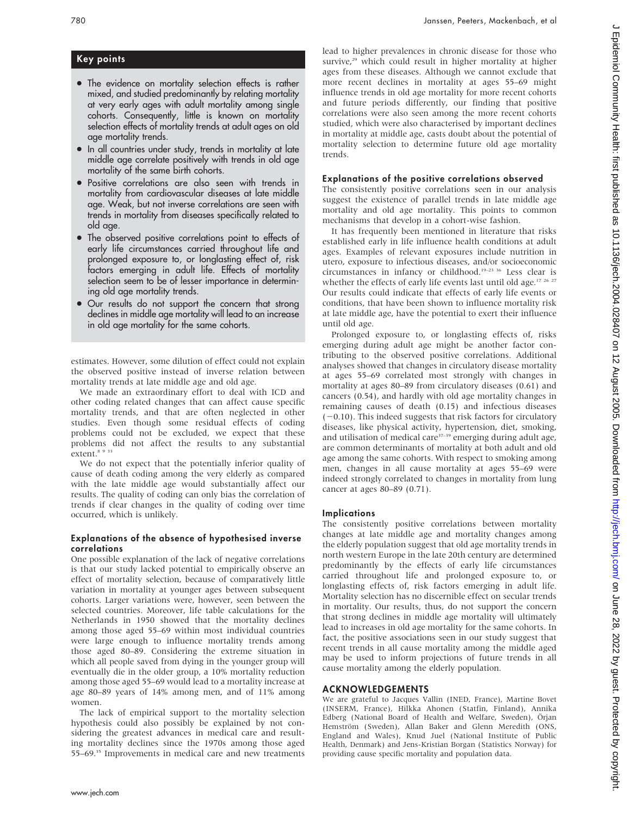Key points

- The evidence on mortality selection effects is rather mixed, and studied predominantly by relating mortality at very early ages with adult mortality among single cohorts. Consequently, little is known on mortality selection effects of mortality trends at adult ages on old age mortality trends.
- In all countries under study, trends in mortality at late middle age correlate positively with trends in old age mortality of the same birth cohorts.
- Positive correlations are also seen with trends in mortality from cardiovascular diseases at late middle age. Weak, but not inverse correlations are seen with trends in mortality from diseases specifically related to old age.
- The observed positive correlations point to effects of early life circumstances carried throughout life and prolonged exposure to, or longlasting effect of, risk factors emerging in adult life. Effects of mortality selection seem to be of lesser importance in determining old age mortality trends.
- Our results do not support the concern that strong declines in middle age mortality will lead to an increase in old age mortality for the same cohorts.

estimates. However, some dilution of effect could not explain the observed positive instead of inverse relation between mortality trends at late middle age and old age.

We made an extraordinary effort to deal with ICD and other coding related changes that can affect cause specific mortality trends, and that are often neglected in other studies. Even though some residual effects of coding problems could not be excluded, we expect that these problems did not affect the results to any substantial extent.<sup>8</sup> 9 33

We do not expect that the potentially inferior quality of cause of death coding among the very elderly as compared with the late middle age would substantially affect our results. The quality of coding can only bias the correlation of trends if clear changes in the quality of coding over time occurred, which is unlikely.

### Explanations of the absence of hypothesised inverse correlations

One possible explanation of the lack of negative correlations is that our study lacked potential to empirically observe an effect of mortality selection, because of comparatively little variation in mortality at younger ages between subsequent cohorts. Larger variations were, however, seen between the selected countries. Moreover, life table calculations for the Netherlands in 1950 showed that the mortality declines among those aged 55–69 within most individual countries were large enough to influence mortality trends among those aged 80–89. Considering the extreme situation in which all people saved from dying in the younger group will eventually die in the older group, a 10% mortality reduction among those aged 55–69 would lead to a mortality increase at age 80–89 years of 14% among men, and of 11% among women.

The lack of empirical support to the mortality selection hypothesis could also possibly be explained by not considering the greatest advances in medical care and resulting mortality declines since the 1970s among those aged 55–69.<sup>35</sup> Improvements in medical care and new treatments

lead to higher prevalences in chronic disease for those who survive,<sup>29</sup> which could result in higher mortality at higher ages from these diseases. Although we cannot exclude that more recent declines in mortality at ages 55–69 might influence trends in old age mortality for more recent cohorts and future periods differently, our finding that positive correlations were also seen among the more recent cohorts studied, which were also characterised by important declines in mortality at middle age, casts doubt about the potential of mortality selection to determine future old age mortality trends.

### Explanations of the positive correlations observed

The consistently positive correlations seen in our analysis suggest the existence of parallel trends in late middle age mortality and old age mortality. This points to common mechanisms that develop in a cohort-wise fashion.

It has frequently been mentioned in literature that risks established early in life influence health conditions at adult ages. Examples of relevant exposures include nutrition in utero, exposure to infectious diseases, and/or socioeconomic circumstances in infancy or childhood.19–23 36 Less clear is whether the effects of early life events last until old age.<sup>17 26</sup> <sup>27</sup> Our results could indicate that effects of early life events or conditions, that have been shown to influence mortality risk at late middle age, have the potential to exert their influence until old age.

Prolonged exposure to, or longlasting effects of, risks emerging during adult age might be another factor contributing to the observed positive correlations. Additional analyses showed that changes in circulatory disease mortality at ages 55–69 correlated most strongly with changes in mortality at ages 80–89 from circulatory diseases (0.61) and cancers (0.54), and hardly with old age mortality changes in remaining causes of death (0.15) and infectious diseases  $(-0.10)$ . This indeed suggests that risk factors for circulatory diseases, like physical activity, hypertension, diet, smoking, and utilisation of medical care $37-39$  emerging during adult age, are common determinants of mortality at both adult and old age among the same cohorts. With respect to smoking among men, changes in all cause mortality at ages 55–69 were indeed strongly correlated to changes in mortality from lung cancer at ages 80–89 (0.71).

### Implications

The consistently positive correlations between mortality changes at late middle age and mortality changes among the elderly population suggest that old age mortality trends in north western Europe in the late 20th century are determined predominantly by the effects of early life circumstances carried throughout life and prolonged exposure to, or longlasting effects of, risk factors emerging in adult life. Mortality selection has no discernible effect on secular trends in mortality. Our results, thus, do not support the concern that strong declines in middle age mortality will ultimately lead to increases in old age mortality for the same cohorts. In fact, the positive associations seen in our study suggest that recent trends in all cause mortality among the middle aged may be used to inform projections of future trends in all cause mortality among the elderly population.

### ACKNOWLEDGEMENTS

We are grateful to Jacques Vallin (INED, France), Martine Bovet (INSERM, France), Hilkka Ahonen (Statfin, Finland), Annika Edberg (National Board of Health and Welfare, Sweden), Örjan Hemström (Sweden), Allan Baker and Glenn Meredith (ONS, England and Wales), Knud Juel (National Institute of Public Health, Denmark) and Jens-Kristian Borgan (Statistics Norway) for providing cause specific mortality and population data.